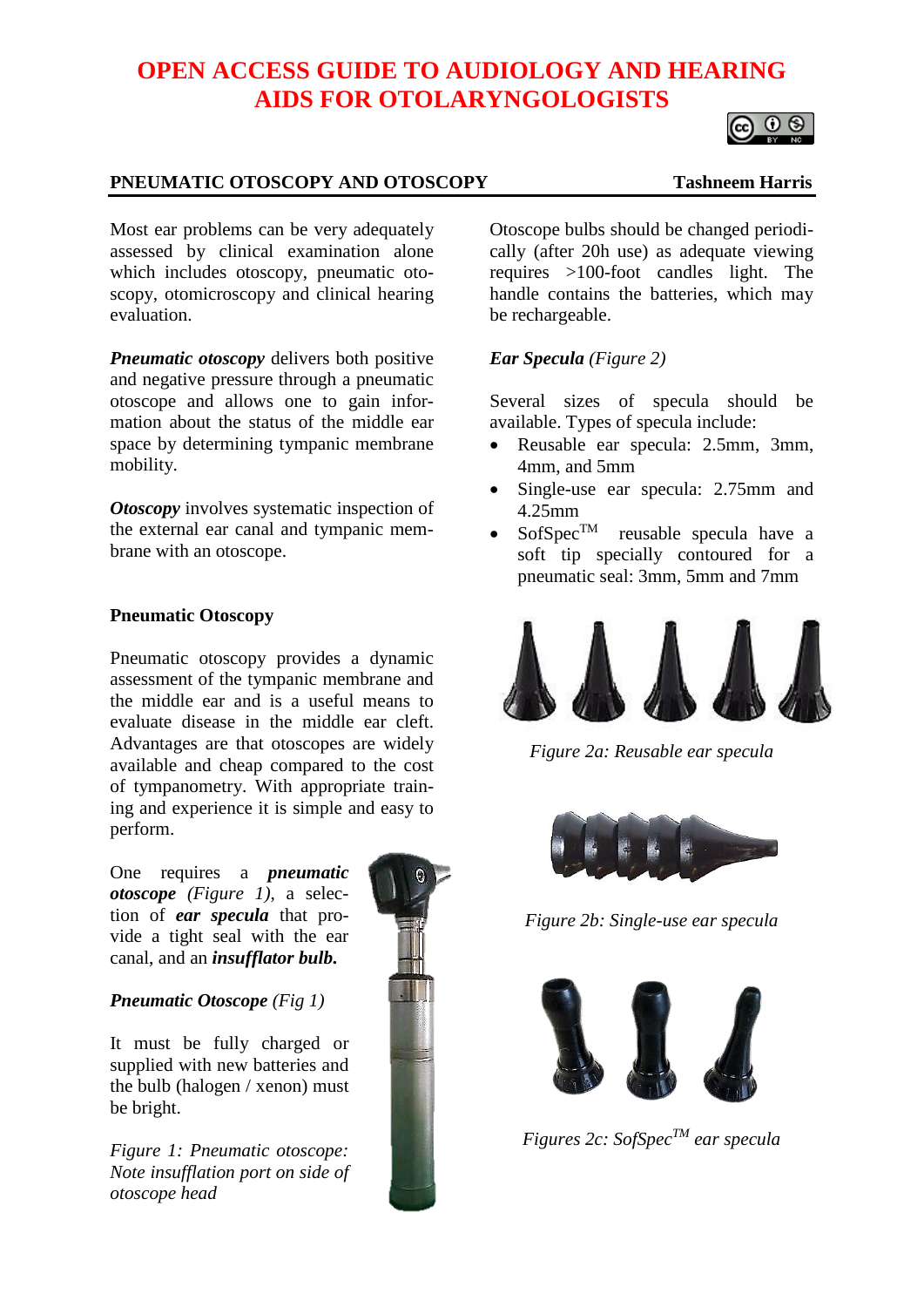# **OPEN ACCESS GUIDE TO AUDIOLOGY AND HEARING AIDS FOR OTOLARYNGOLOGISTS**

### **PNEUMATIC OTOSCOPY AND OTOSCOPY Tashneem Harris**

Most ear problems can be very adequately assessed by clinical examination alone which includes otoscopy, pneumatic otoscopy, otomicroscopy and clinical hearing evaluation.

*Pneumatic otoscopy* delivers both positive and negative pressure through a pneumatic otoscope and allows one to gain information about the status of the middle ear space by determining tympanic membrane mobility.

*Otoscopy* involves systematic inspection of the external ear canal and tympanic membrane with an otoscope.

#### **Pneumatic Otoscopy**

Pneumatic otoscopy provides a dynamic assessment of the tympanic membrane and the middle ear and is a useful means to evaluate disease in the middle ear cleft. Advantages are that otoscopes are widely available and cheap compared to the cost of tympanometry. With appropriate training and experience it is simple and easy to perform.

One requires a *pneumatic otoscope (Figure 1)*, a selection of *ear specula* that provide a tight seal with the ear canal, and an *insufflator bulb.*

### *Pneumatic Otoscope (Fig 1)*

It must be fully charged or supplied with new batteries and the bulb (halogen / xenon) must be bright.

*Figure 1: Pneumatic otoscope: Note insufflation port on side of otoscope head*



Otoscope bulbs should be changed periodically (after 20h use) as adequate viewing requires >100-foot candles light. The handle contains the batteries, which may be rechargeable.

## *Ear Specula (Figure 2)*

Several sizes of specula should be available. Types of specula include:

- Reusable ear specula: 2.5mm, 3mm, 4mm, and 5mm
- Single-use ear specula: 2.75mm and 4.25mm
- $SofSpec^{TM}$  reusable specula have a soft tip specially contoured for a pneumatic seal: 3mm, 5mm and 7mm



*Figure 2a: Reusable ear specula*



*Figure 2b: Single-use ear specula*



*Figures 2c: SofSpecTM ear specula*



 $\circ$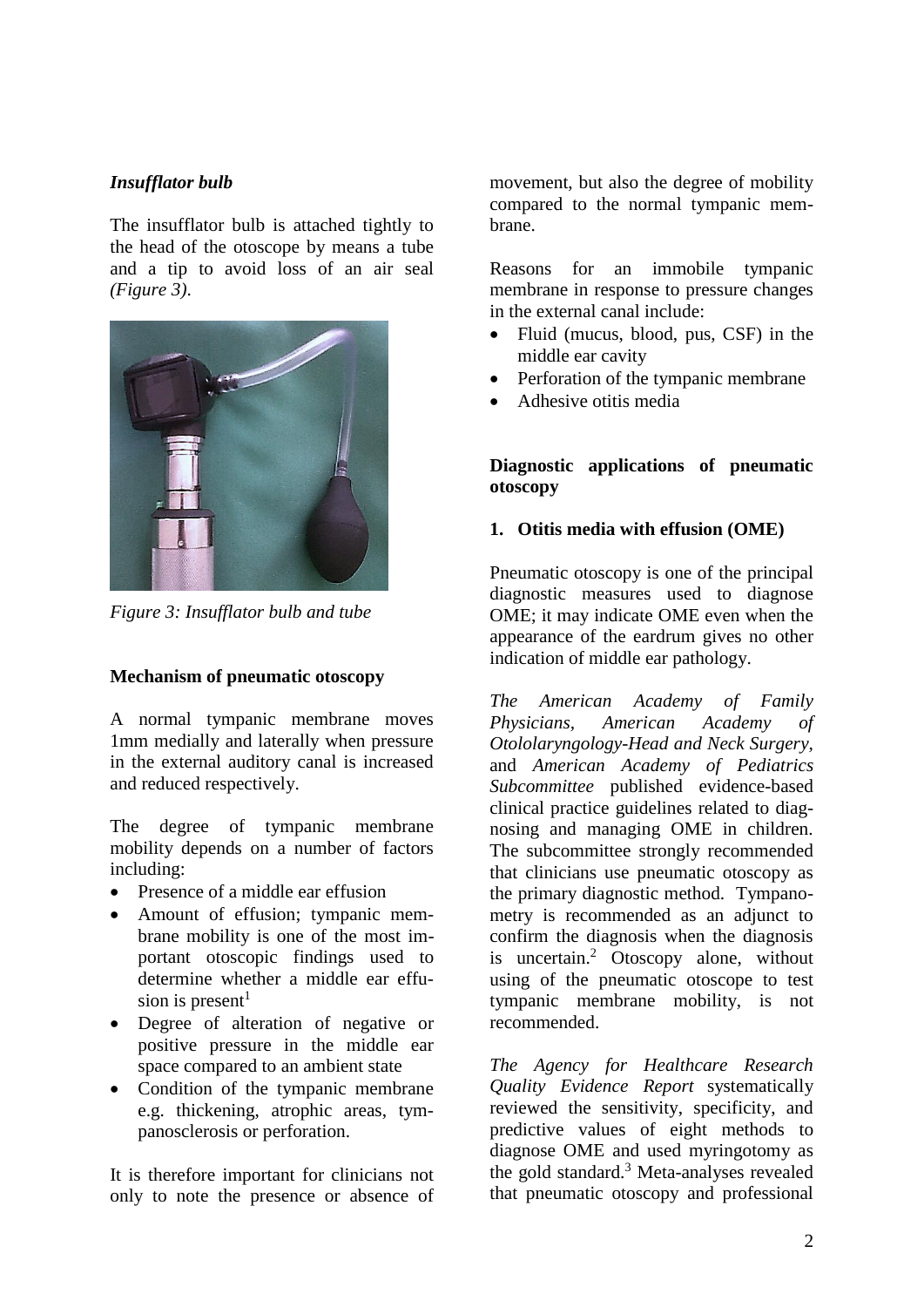# *Insufflator bulb*

The insufflator bulb is attached tightly to the head of the otoscope by means a tube and a tip to avoid loss of an air seal *(Figure 3)*.



*Figure 3: Insufflator bulb and tube*

### **Mechanism of pneumatic otoscopy**

A normal tympanic membrane moves 1mm medially and laterally when pressure in the external auditory canal is increased and reduced respectively.

The degree of tympanic membrane mobility depends on a number of factors including:

- Presence of a middle ear effusion
- Amount of effusion; tympanic membrane mobility is one of the most important otoscopic findings used to determine whether a middle ear effusion is present<sup>1</sup>
- Degree of alteration of negative or positive pressure in the middle ear space compared to an ambient state
- Condition of the tympanic membrane e.g. thickening, atrophic areas, tympanosclerosis or perforation.

It is therefore important for clinicians not only to note the presence or absence of movement, but also the degree of mobility compared to the normal tympanic membrane.

Reasons for an immobile tympanic membrane in response to pressure changes in the external canal include:

- Fluid (mucus, blood, pus, CSF) in the middle ear cavity
- Perforation of the tympanic membrane
- Adhesive otitis media

## **Diagnostic applications of pneumatic otoscopy**

### **1. Otitis media with effusion (OME)**

Pneumatic otoscopy is one of the principal diagnostic measures used to diagnose OME; it may indicate OME even when the appearance of the eardrum gives no other indication of middle ear pathology.

*The American Academy of Family Physicians, American Academy of Otololaryngology-Head and Neck Surgery,*  and *American Academy of Pediatrics Subcommittee* published evidence-based clinical practice guidelines related to diagnosing and managing OME in children. The subcommittee strongly recommended that clinicians use pneumatic otoscopy as the primary diagnostic method. Tympanometry is recommended as an adjunct to confirm the diagnosis when the diagnosis is uncertain.<sup>2</sup> Otoscopy alone, without using of the pneumatic otoscope to test tympanic membrane mobility, is not recommended.

*The Agency for Healthcare Research Quality Evidence Report* systematically reviewed the sensitivity, specificity, and predictive values of eight methods to diagnose OME and used myringotomy as the gold standard.<sup>3</sup> Meta-analyses revealed that pneumatic otoscopy and professional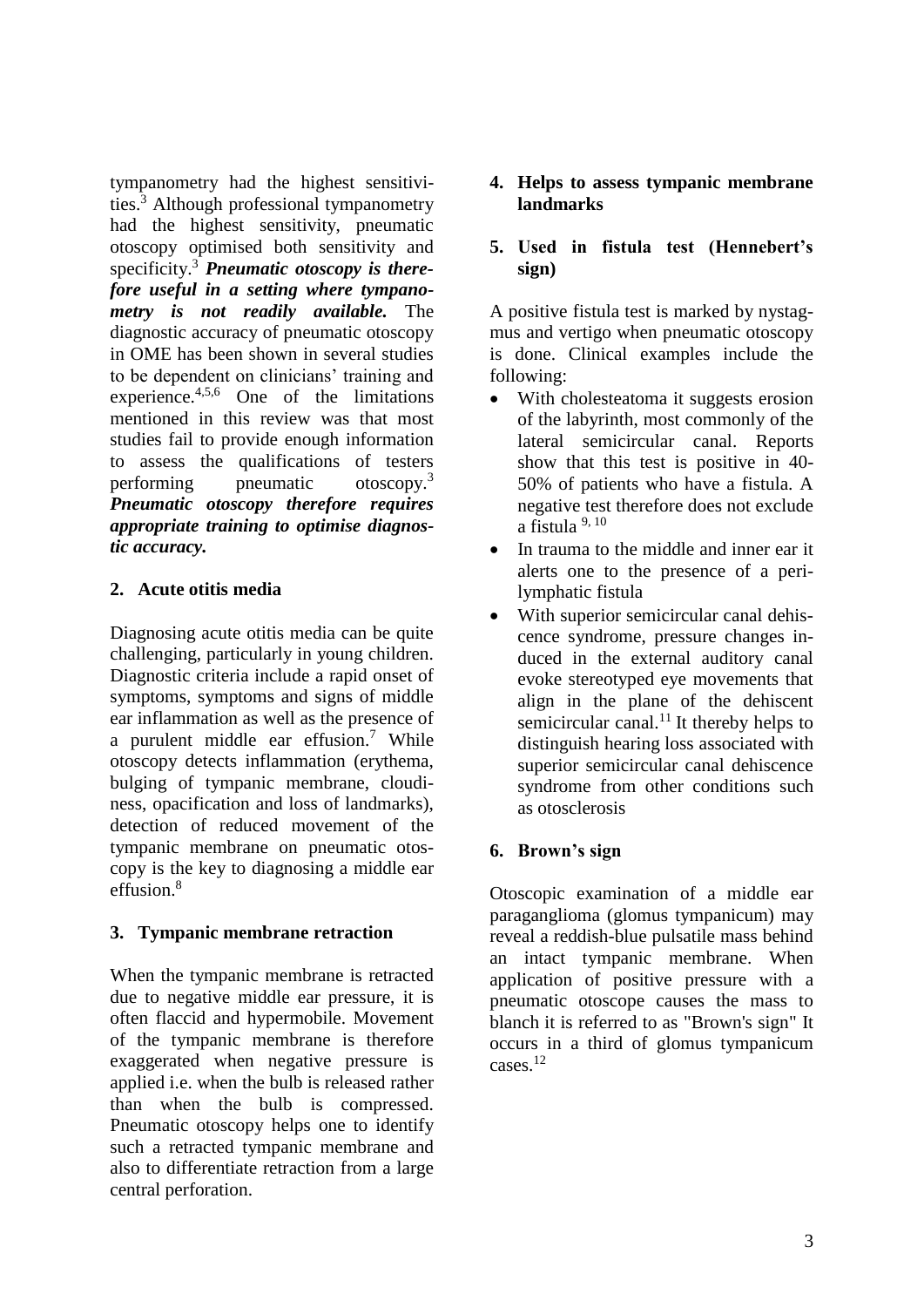tympanometry had the highest sensitivities. <sup>3</sup> Although professional tympanometry had the highest sensitivity, pneumatic otoscopy optimised both sensitivity and specificity.<sup>3</sup> *Pneumatic otoscopy is therefore useful in a setting where tympanometry is not readily available.* The diagnostic accuracy of pneumatic otoscopy in OME has been shown in several studies to be dependent on clinicians' training and experience.4,5,6 One of the limitations mentioned in this review was that most studies fail to provide enough information to assess the qualifications of testers performing pneumatic otoscopy.<sup>3</sup> *Pneumatic otoscopy therefore requires appropriate training to optimise diagnostic accuracy.*

### **2. Acute otitis media**

Diagnosing acute otitis media can be quite challenging, particularly in young children. Diagnostic criteria include a rapid onset of symptoms, symptoms and signs of middle ear inflammation as well as the presence of a purulent middle ear effusion.<sup>7</sup> While otoscopy detects inflammation (erythema, bulging of tympanic membrane, cloudiness, opacification and loss of landmarks), detection of reduced movement of the tympanic membrane on pneumatic otoscopy is the key to diagnosing a middle ear effusion. 8

### **3. Tympanic membrane retraction**

When the tympanic membrane is retracted due to negative middle ear pressure, it is often flaccid and hypermobile. Movement of the tympanic membrane is therefore exaggerated when negative pressure is applied i.e. when the bulb is released rather than when the bulb is compressed. Pneumatic otoscopy helps one to identify such a retracted tympanic membrane and also to differentiate retraction from a large central perforation.

### **4. Helps to assess tympanic membrane landmarks**

## **5. Used in fistula test (Hennebert's sign)**

A positive fistula test is marked by nystagmus and vertigo when pneumatic otoscopy is done. Clinical examples include the following:

- With cholesteatoma it suggests erosion of the labyrinth, most commonly of the lateral semicircular canal. Reports show that this test is positive in 40- 50% of patients who have a fistula. A negative test therefore does not exclude a fistula 9, 10
- In trauma to the middle and inner ear it alerts one to the presence of a perilymphatic fistula
- With superior semicircular canal dehiscence syndrome, pressure changes induced in the external auditory canal evoke stereotyped eye movements that align in the plane of the dehiscent semicircular canal.<sup>11</sup> It thereby helps to distinguish hearing loss associated with superior semicircular canal dehiscence syndrome from other conditions such as otosclerosis

# **6. Brown's sign**

Otoscopic examination of a middle ear paraganglioma (glomus tympanicum) may reveal a reddish-blue pulsatile mass behind an intact tympanic membrane. When application of positive pressure with a pneumatic otoscope causes the mass to blanch it is referred to as "Brown's sign" It occurs in a third of glomus tympanicum cases.<sup>12</sup>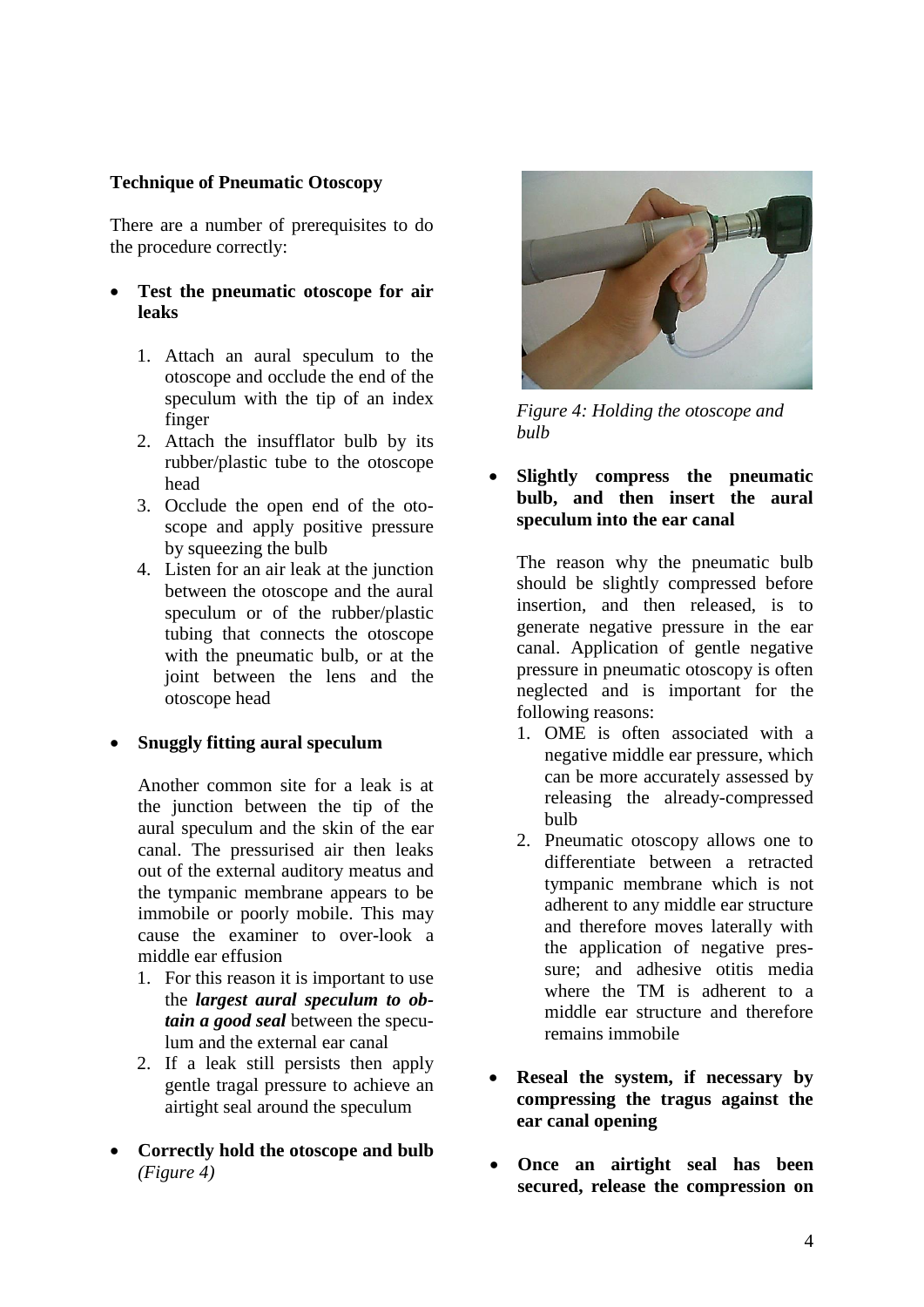## **Technique of Pneumatic Otoscopy**

There are a number of prerequisites to do the procedure correctly:

- **Test the pneumatic otoscope for air leaks**
	- 1. Attach an aural speculum to the otoscope and occlude the end of the speculum with the tip of an index finger
	- 2. Attach the insufflator bulb by its rubber/plastic tube to the otoscope head
	- 3. Occlude the open end of the otoscope and apply positive pressure by squeezing the bulb
	- 4. Listen for an air leak at the junction between the otoscope and the aural speculum or of the rubber/plastic tubing that connects the otoscope with the pneumatic bulb, or at the joint between the lens and the otoscope head

### • **Snuggly fitting aural speculum**

Another common site for a leak is at the junction between the tip of the aural speculum and the skin of the ear canal. The pressurised air then leaks out of the external auditory meatus and the tympanic membrane appears to be immobile or poorly mobile. This may cause the examiner to over-look a middle ear effusion

- 1. For this reason it is important to use the *largest aural speculum to obtain a good seal* between the speculum and the external ear canal
- 2. If a leak still persists then apply gentle tragal pressure to achieve an airtight seal around the speculum
- **Correctly hold the otoscope and bulb** *(Figure 4)*



*Figure 4: Holding the otoscope and bulb* 

• **Slightly compress the pneumatic bulb, and then insert the aural speculum into the ear canal**

The reason why the pneumatic bulb should be slightly compressed before insertion, and then released, is to generate negative pressure in the ear canal. Application of gentle negative pressure in pneumatic otoscopy is often neglected and is important for the following reasons:

- 1. OME is often associated with a negative middle ear pressure, which can be more accurately assessed by releasing the already-compressed bulb
- 2. Pneumatic otoscopy allows one to differentiate between a retracted tympanic membrane which is not adherent to any middle ear structure and therefore moves laterally with the application of negative pressure; and adhesive otitis media where the TM is adherent to a middle ear structure and therefore remains immobile
- **Reseal the system, if necessary by compressing the tragus against the ear canal opening**
- **Once an airtight seal has been secured, release the compression on**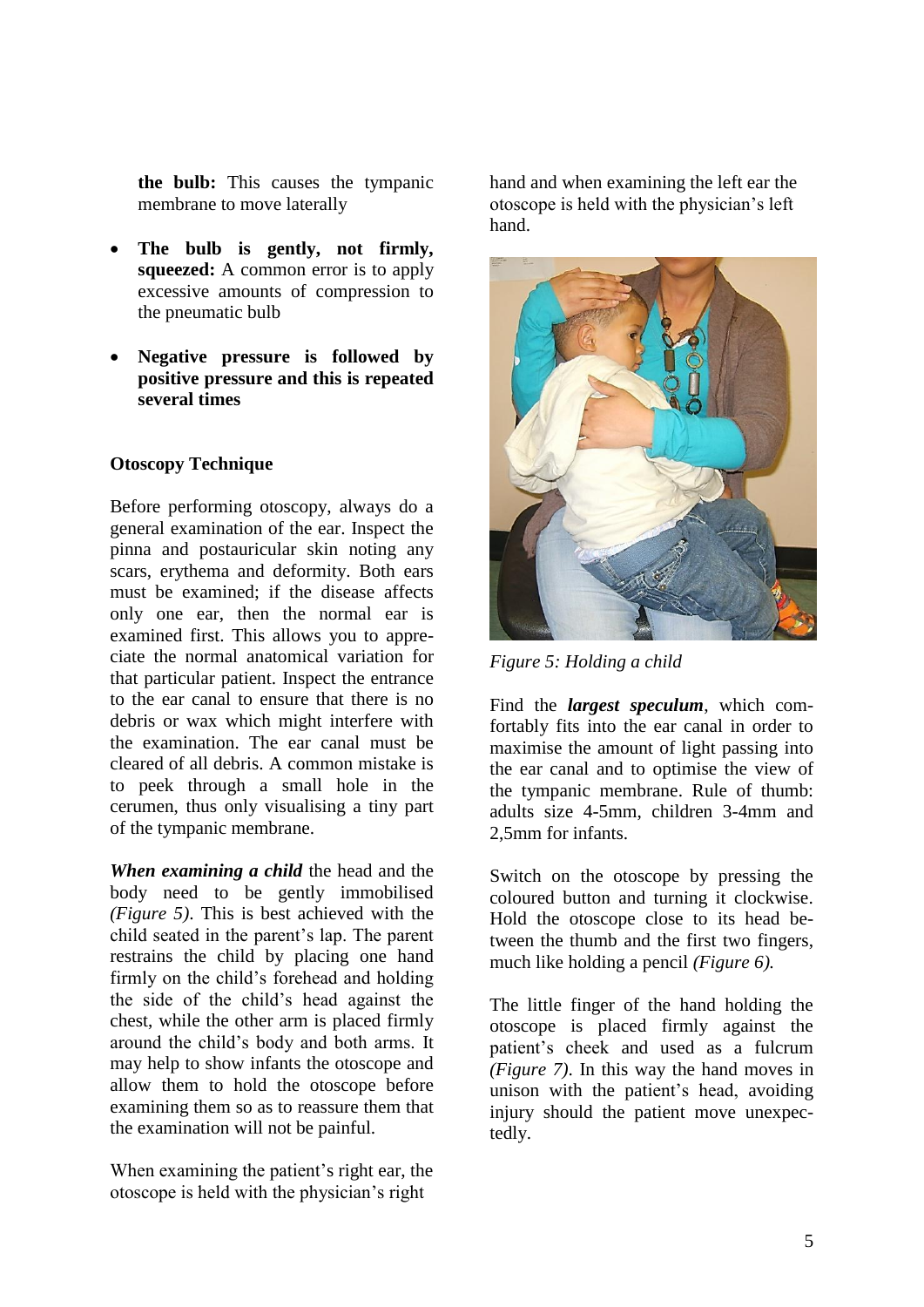**the bulb:** This causes the tympanic membrane to move laterally

- The bulb is gently, not firmly, **squeezed:** A common error is to apply excessive amounts of compression to the pneumatic bulb
- **Negative pressure is followed by positive pressure and this is repeated several times**

#### **Otoscopy Technique**

Before performing otoscopy, always do a general examination of the ear. Inspect the pinna and postauricular skin noting any scars, erythema and deformity. Both ears must be examined; if the disease affects only one ear, then the normal ear is examined first. This allows you to appreciate the normal anatomical variation for that particular patient. Inspect the entrance to the ear canal to ensure that there is no debris or wax which might interfere with the examination. The ear canal must be cleared of all debris. A common mistake is to peek through a small hole in the cerumen, thus only visualising a tiny part of the tympanic membrane.

*When examining a child* the head and the body need to be gently immobilised *(Figure 5)*. This is best achieved with the child seated in the parent's lap. The parent restrains the child by placing one hand firmly on the child's forehead and holding the side of the child's head against the chest, while the other arm is placed firmly around the child's body and both arms. It may help to show infants the otoscope and allow them to hold the otoscope before examining them so as to reassure them that the examination will not be painful.

When examining the patient's right ear, the otoscope is held with the physician's right

hand and when examining the left ear the otoscope is held with the physician's left hand.



*Figure 5: Holding a child*

Find the *largest speculum*, which comfortably fits into the ear canal in order to maximise the amount of light passing into the ear canal and to optimise the view of the tympanic membrane. Rule of thumb: adults size 4-5mm, children 3-4mm and 2,5mm for infants.

Switch on the otoscope by pressing the coloured button and turning it clockwise. Hold the otoscope close to its head between the thumb and the first two fingers, much like holding a pencil *(Figure 6).*

The little finger of the hand holding the otoscope is placed firmly against the patient's cheek and used as a fulcrum *(Figure 7)*. In this way the hand moves in unison with the patient's head, avoiding injury should the patient move unexpectedly.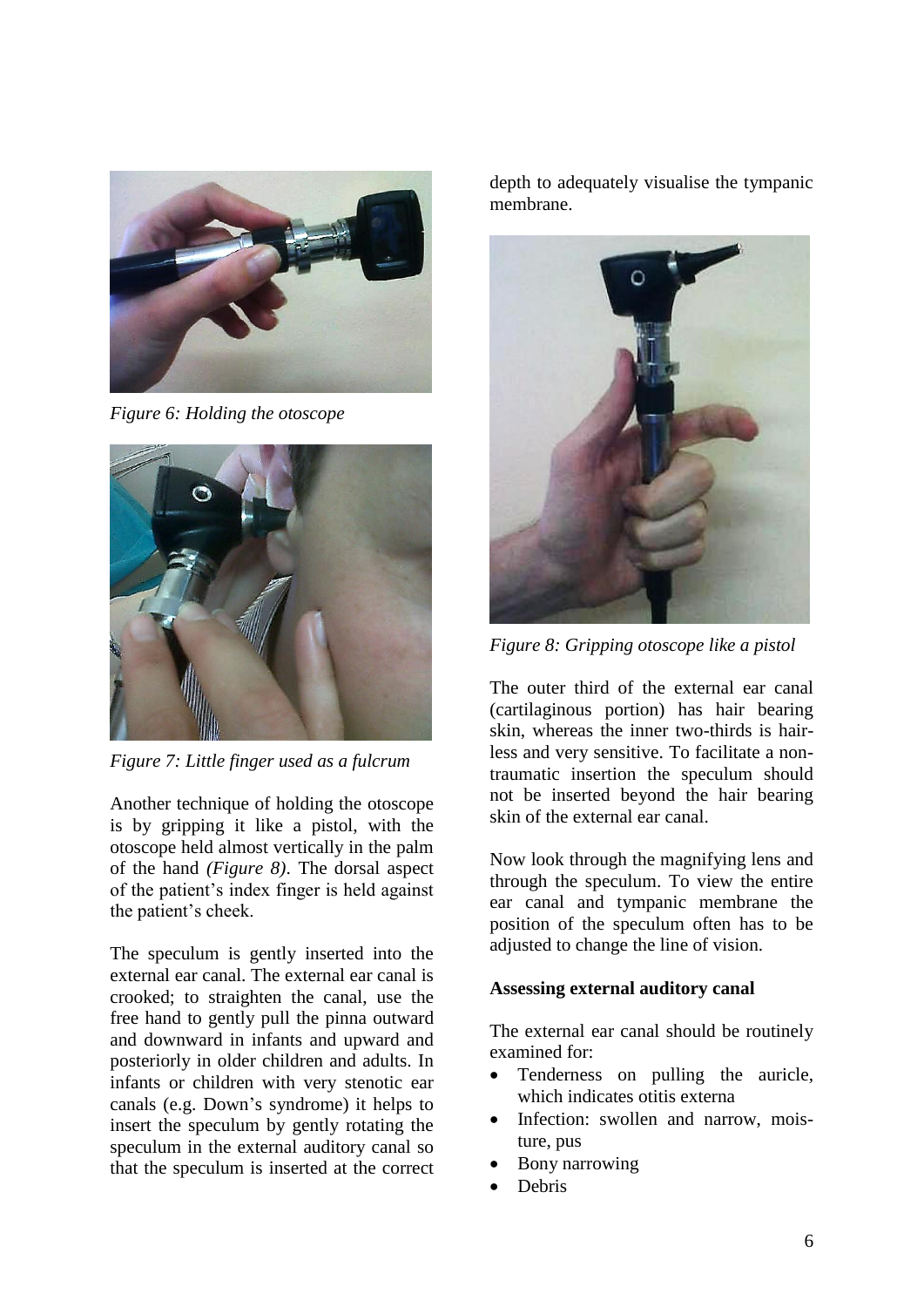

*Figure 6: Holding the otoscope*



*Figure 7: Little finger used as a fulcrum*

Another technique of holding the otoscope is by gripping it like a pistol, with the otoscope held almost vertically in the palm of the hand *(Figure 8)*. The dorsal aspect of the patient's index finger is held against the patient's cheek.

The speculum is gently inserted into the external ear canal. The external ear canal is crooked; to straighten the canal, use the free hand to gently pull the pinna outward and downward in infants and upward and posteriorly in older children and adults. In infants or children with very stenotic ear canals (e.g. Down's syndrome) it helps to insert the speculum by gently rotating the speculum in the external auditory canal so that the speculum is inserted at the correct depth to adequately visualise the tympanic membrane.



*Figure 8: Gripping otoscope like a pistol*

The outer third of the external ear canal (cartilaginous portion) has hair bearing skin, whereas the inner two-thirds is hairless and very sensitive. To facilitate a nontraumatic insertion the speculum should not be inserted beyond the hair bearing skin of the external ear canal.

Now look through the magnifying lens and through the speculum. To view the entire ear canal and tympanic membrane the position of the speculum often has to be adjusted to change the line of vision.

### **Assessing external auditory canal**

The external ear canal should be routinely examined for:

- Tenderness on pulling the auricle, which indicates otitis externa
- Infection: swollen and narrow, moisture, pus
- Bony narrowing
- Debris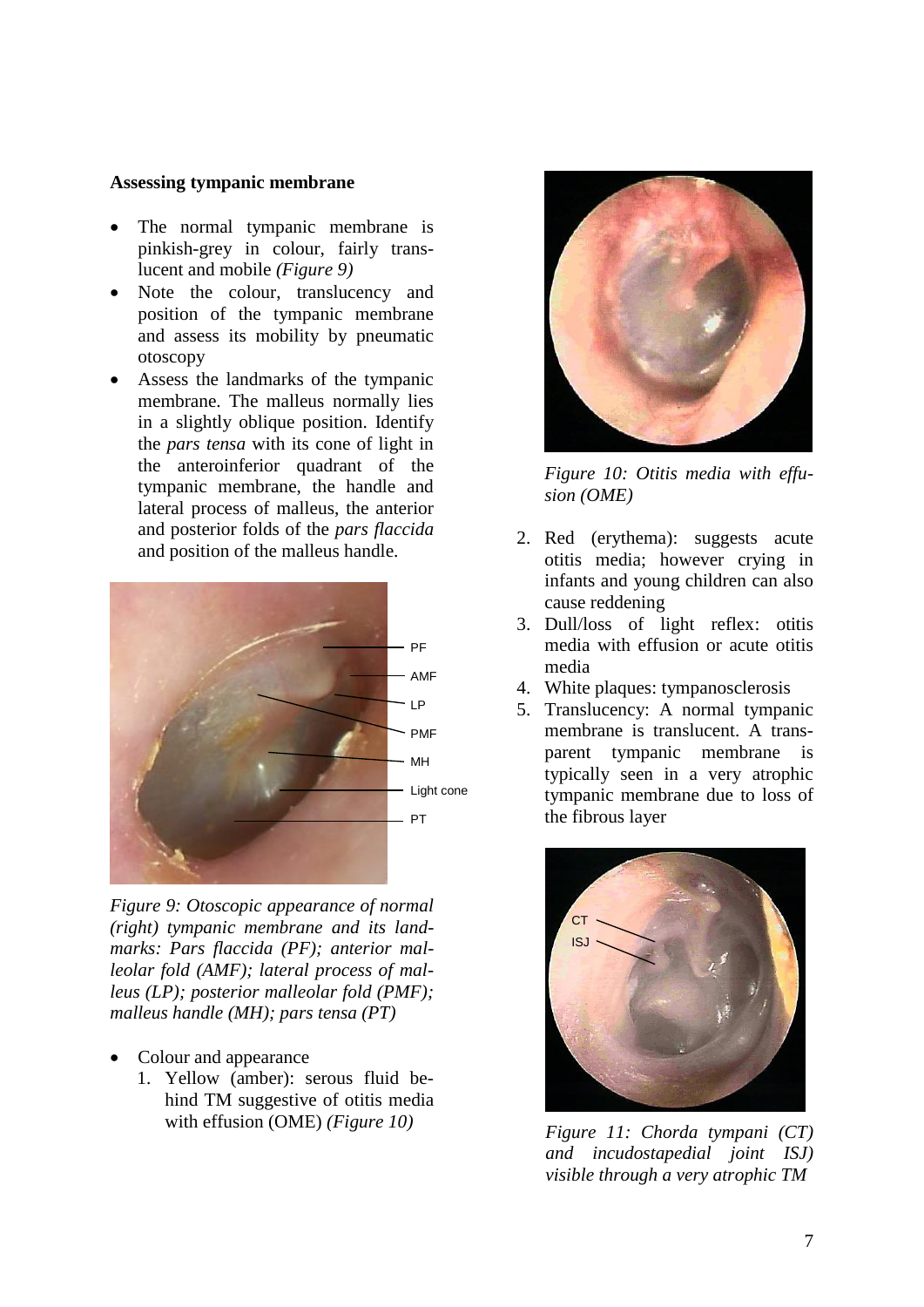#### **Assessing tympanic membrane**

- The normal tympanic membrane is pinkish-grey in colour, fairly translucent and mobile *(Figure 9)*
- Note the colour, translucency and position of the tympanic membrane and assess its mobility by pneumatic otoscopy
- Assess the landmarks of the tympanic membrane. The malleus normally lies in a slightly oblique position. Identify the *pars tensa* with its cone of light in the anteroinferior quadrant of the tympanic membrane, the handle and lateral process of malleus, the anterior and posterior folds of the *pars flaccida* and position of the malleus handle.



*Figure 9: Otoscopic appearance of normal (right) tympanic membrane and its landmarks: Pars flaccida (PF); anterior malleolar fold (AMF); lateral process of malleus (LP); posterior malleolar fold (PMF); malleus handle (MH); pars tensa (PT)*

- Colour and appearance
	- 1. Yellow (amber): serous fluid behind TM suggestive of otitis media with effusion (OME) *(Figure 10)*



*Figure 10: Otitis media with effusion (OME)*

- 2. Red (erythema): suggests acute otitis media; however crying in infants and young children can also cause reddening
- 3. Dull/loss of light reflex: otitis media with effusion or acute otitis media
- 4. White plaques: tympanosclerosis
- 5. Translucency: A normal tympanic membrane is translucent. A transparent tympanic membrane is typically seen in a very atrophic tympanic membrane due to loss of the fibrous layer



*Figure 11: Chorda tympani (CT) and incudostapedial joint ISJ) visible through a very atrophic TM*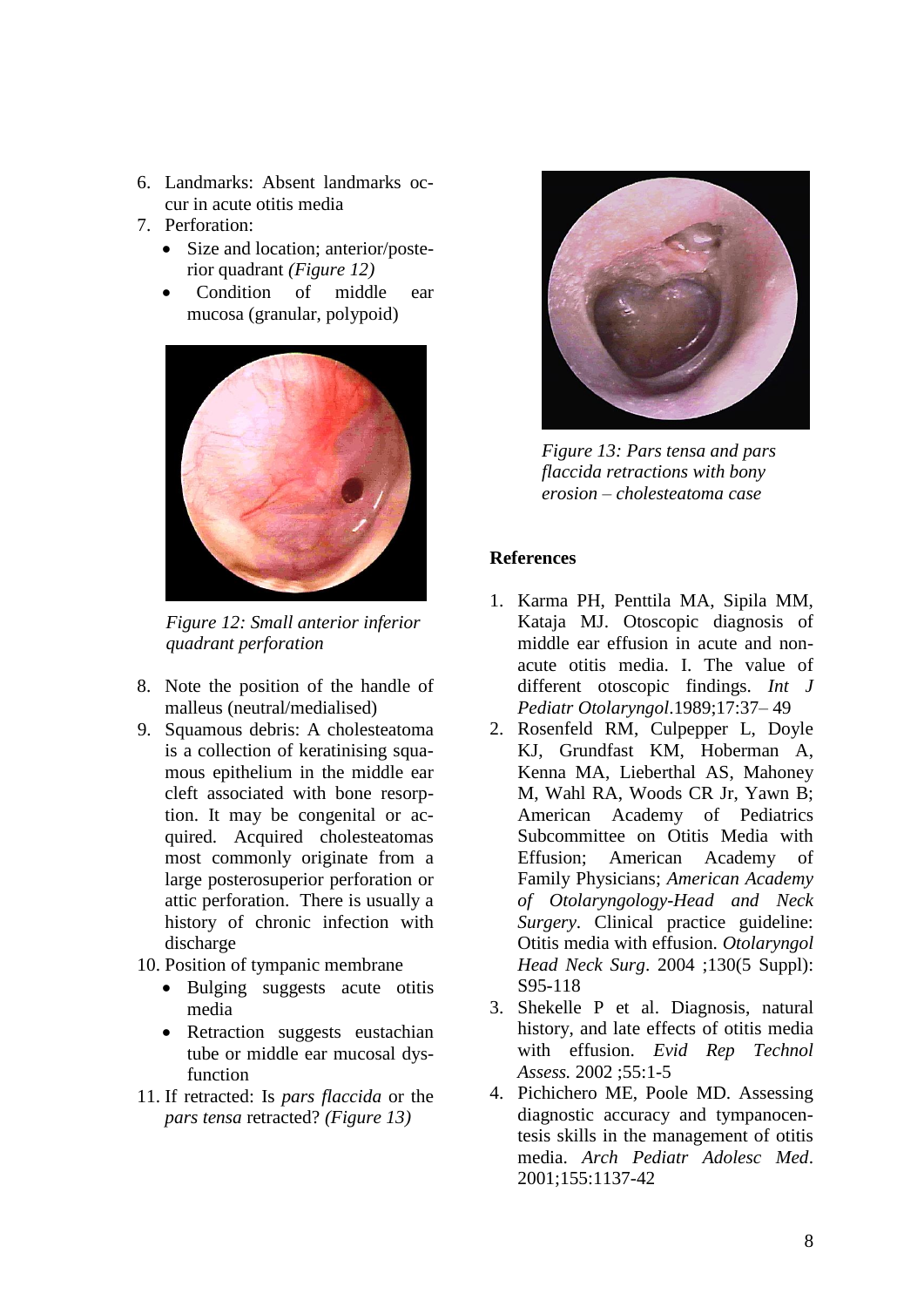- 6. Landmarks: Absent landmarks occur in acute otitis media
- 7. Perforation:
	- Size and location; anterior/posterior quadrant *(Figure 12)*
	- Condition of middle ear mucosa (granular, polypoid)



*Figure 12: Small anterior inferior quadrant perforation*

- 8. Note the position of the handle of malleus (neutral/medialised)
- 9. Squamous debris: A cholesteatoma is a collection of keratinising squamous epithelium in the middle ear cleft associated with bone resorption. It may be congenital or acquired. Acquired cholesteatomas most commonly originate from a large posterosuperior perforation or attic perforation. There is usually a history of chronic infection with discharge
- 10. Position of tympanic membrane
	- Bulging suggests acute otitis media
	- Retraction suggests eustachian tube or middle ear mucosal dysfunction
- 11. If retracted: Is *pars flaccida* or the *pars tensa* retracted? *(Figure 13)*



*Figure 13: Pars tensa and pars flaccida retractions with bony erosion – cholesteatoma case*

### **References**

- 1. Karma PH, Penttila MA, Sipila MM, Kataja MJ. Otoscopic diagnosis of middle ear effusion in acute and nonacute otitis media. I. The value of different otoscopic findings. *Int J Pediatr Otolaryngol*.1989;17:37– 49
- 2. Rosenfeld RM, Culpepper L, Doyle KJ, [Grundfast KM,](http://www.ncbi.nlm.nih.gov/pubmed?term=Grundfast%20KM%5BAuthor%5D&cauthor=true&cauthor_uid=15138413) Hoberman A, Kenna MA, Lieberthal AS, [Mahoney](http://www.ncbi.nlm.nih.gov/pubmed?term=Mahoney%20M%5BAuthor%5D&cauthor=true&cauthor_uid=15138413)  [M,](http://www.ncbi.nlm.nih.gov/pubmed?term=Mahoney%20M%5BAuthor%5D&cauthor=true&cauthor_uid=15138413) [Wahl RA,](http://www.ncbi.nlm.nih.gov/pubmed?term=Wahl%20RA%5BAuthor%5D&cauthor=true&cauthor_uid=15138413) [Woods CR Jr,](http://www.ncbi.nlm.nih.gov/pubmed?term=Woods%20CR%20Jr%5BAuthor%5D&cauthor=true&cauthor_uid=15138413) [Yawn B;](http://www.ncbi.nlm.nih.gov/pubmed?term=Yawn%20B%5BAuthor%5D&cauthor=true&cauthor_uid=15138413) American Academy of Pediatrics Subcommittee on Otitis Media with Effusion; American Academy of Family Physicians; *American Academy of Otolaryngology-Head and Neck Surgery*. Clinical practice guideline: Otitis media with effusion. *Otolaryngol Head Neck Surg*. 2004 ;130(5 Suppl): S95-118
- 3. Shekelle P et al. Diagnosis, natural history, and late effects of otitis media with effusion. *Evid Rep Technol Assess.* 2002 ;55:1-5
- 4. Pichichero ME, Poole MD. Assessing diagnostic accuracy and tympanocentesis skills in the management of otitis media. *Arch Pediatr Adolesc Med*. 2001;155:1137-42